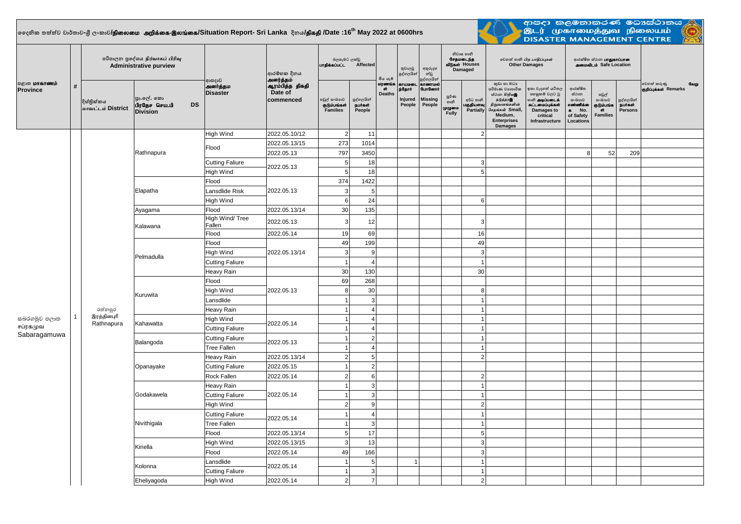## $\vert$ ලෛදනික තත්ත්ව වාර්තාව-ශී ලංකාව**/நிலைமை அறிக்கை-இலங்கை/Situation Report- Sri Lanka දිනය<b>/திகதி /D**ate :16<sup>th</sup> May 2022 at 0600hrs

an an T



ආපදා කලමනාකරණ මධාස්ථානය<br>- ඔடர் முகாமைத்துவ நிலையம்<br>- DISASTER MANAGEMENT CENTRE

| <b>்குறை மாகாணம்</b><br><b>Province</b> | # | පරිපාලන පුදේශය நிர்வாகப் பிரிவு<br><b>Administrative purview</b> |                                                            |                                             | ආරම්භක දිනය                                          | බලපෑමට ලක්වු<br>unglasuuLL Affected      |                                 | මිය යෑම                       | තුවාලවු<br>පුද්ගලයින්                  | අතුරුදහ<br>න්වූ<br>පුද්ගලයින්                           | නිවාස හානි<br>சேதமடைந்த<br>வீடுகள் Houses<br>Damaged |                                     | லூவி லகி பிற பாதிப்புகள்<br><b>Other Damages</b>                                                                                                  |                                                                                                                            | ආරක්ෂිත ස්ථාන <b>LIT துகாப்பான</b><br>அமைவிடம் Safe Location                         |                                                         |                                        |                                              |
|-----------------------------------------|---|------------------------------------------------------------------|------------------------------------------------------------|---------------------------------------------|------------------------------------------------------|------------------------------------------|---------------------------------|-------------------------------|----------------------------------------|---------------------------------------------------------|------------------------------------------------------|-------------------------------------|---------------------------------------------------------------------------------------------------------------------------------------------------|----------------------------------------------------------------------------------------------------------------------------|--------------------------------------------------------------------------------------|---------------------------------------------------------|----------------------------------------|----------------------------------------------|
|                                         |   | දිස්තික්කය<br>மாவட்டம் District                                  | පා.ලේ. කො<br><b>DS</b><br>பிரதேச செய.பி<br><b>Division</b> | ආපදාව<br><b>அனர்த்தம</b><br><b>Disaster</b> | அனர்த்தம்<br>ஆரம்பித்த திகதி<br>Date of<br>commenced | පවුල් සංඛාාව<br>குடும்பங்கள்<br>Families | පුද්ගලයින්<br>நபர்கள்<br>People | மரணங்க<br>ள்<br><b>Deaths</b> | காயமன<br>p35 grin<br>Injured<br>People | காணாமல்<br><b>GunGermit</b><br><b>Missing</b><br>People | ర్ణర్∗త<br>හානි<br>முழுமை<br>Fully                   | අර්ධ හානි<br>பகுதியளவு<br>Partially | කුඩා හා මධා<br>පරිමාණ වාාපාරික<br>ස්ථාන හිறியஇ<br>நடுத்தரஇ<br>நிறுவனங்களின்<br>சேதங்கள் Small,<br>Medium,<br><b>Enterprises</b><br><b>Damages</b> | ඉතා වැදගත් යටිතල<br>පහසුකම් වලට වූ<br>ைக் <b>அடிப்படைக்</b><br>கட்டமைப்புக்கள்<br>Damages to<br>critical<br>Infrastructure | ආරක්ෂිත<br>ස්ථාන<br>සංඛාහව<br>எண்ணிக்க<br>No.<br>$\bullet$<br>of Safety<br>Locations | පවුල්<br>සංඛාගව<br>குடும்பங்க<br>ີດາ<br><b>Families</b> | පුද්ගලයින්<br><b>Buiset</b><br>Persons | වෙනත් කරුණු<br>வேறு<br>குறிப்புக்கள் Remarks |
|                                         |   |                                                                  |                                                            | High Wind                                   | 2022.05.10/12                                        | $\overline{2}$                           | 11                              |                               |                                        |                                                         |                                                      | $\overline{2}$                      |                                                                                                                                                   |                                                                                                                            |                                                                                      |                                                         |                                        |                                              |
|                                         |   |                                                                  |                                                            | Flood                                       | 2022.05.13/15                                        | 273                                      | 1014                            |                               |                                        |                                                         |                                                      |                                     |                                                                                                                                                   |                                                                                                                            |                                                                                      |                                                         |                                        |                                              |
|                                         |   |                                                                  | Rathnapura                                                 |                                             | 2022.05.13                                           | 797                                      | 3450                            |                               |                                        |                                                         |                                                      |                                     |                                                                                                                                                   |                                                                                                                            | 8                                                                                    | 52                                                      | 209                                    |                                              |
|                                         |   | රත්නපුර                                                          |                                                            | <b>Cutting Faliure</b>                      | 2022.05.13                                           | $\sqrt{5}$                               | 18                              |                               |                                        |                                                         |                                                      | 3                                   |                                                                                                                                                   |                                                                                                                            |                                                                                      |                                                         |                                        |                                              |
|                                         |   |                                                                  |                                                            | High Wind                                   |                                                      | 5                                        | 18                              |                               |                                        |                                                         |                                                      | 5                                   |                                                                                                                                                   |                                                                                                                            |                                                                                      |                                                         |                                        |                                              |
|                                         |   |                                                                  | Elapatha                                                   | Flood                                       | 2022.05.13                                           | 374                                      | 1422                            |                               |                                        |                                                         |                                                      |                                     |                                                                                                                                                   |                                                                                                                            |                                                                                      |                                                         |                                        |                                              |
|                                         |   |                                                                  |                                                            | Lansdlide Risk                              |                                                      | 3                                        | 5                               |                               |                                        |                                                         |                                                      |                                     |                                                                                                                                                   |                                                                                                                            |                                                                                      |                                                         |                                        |                                              |
|                                         |   |                                                                  |                                                            | High Wind                                   |                                                      | $\mathbf 6$                              | 24                              |                               |                                        |                                                         |                                                      | 6                                   |                                                                                                                                                   |                                                                                                                            |                                                                                      |                                                         |                                        |                                              |
|                                         |   |                                                                  | Ayagama                                                    | Flood                                       | 2022.05.13/14                                        | 30                                       | 135                             |                               |                                        |                                                         |                                                      |                                     |                                                                                                                                                   |                                                                                                                            |                                                                                      |                                                         |                                        |                                              |
|                                         |   |                                                                  | Kalawana                                                   | High Wind/ Tree<br>Fallen                   | 2022.05.13                                           | 3                                        | 12                              |                               |                                        |                                                         |                                                      | 3                                   |                                                                                                                                                   |                                                                                                                            |                                                                                      |                                                         |                                        |                                              |
|                                         |   |                                                                  |                                                            | Flood                                       | 2022.05.14                                           | 19                                       | 69                              |                               |                                        |                                                         |                                                      | 16                                  |                                                                                                                                                   |                                                                                                                            |                                                                                      |                                                         |                                        |                                              |
|                                         |   |                                                                  | Pelmadulla                                                 | Flood                                       | 2022.05.13/14                                        | 49                                       | 199                             |                               |                                        |                                                         |                                                      | 49                                  |                                                                                                                                                   |                                                                                                                            |                                                                                      |                                                         |                                        |                                              |
|                                         |   |                                                                  |                                                            | High Wind                                   |                                                      | 3                                        | $\mathbf{q}$                    |                               |                                        |                                                         |                                                      | $\mathbf{3}$                        |                                                                                                                                                   |                                                                                                                            |                                                                                      |                                                         |                                        |                                              |
|                                         |   |                                                                  |                                                            | <b>Cutting Faliure</b>                      |                                                      | -1                                       | 4                               |                               |                                        |                                                         |                                                      | $\overline{1}$                      |                                                                                                                                                   |                                                                                                                            |                                                                                      |                                                         |                                        |                                              |
|                                         |   |                                                                  |                                                            | Heavy Rain                                  |                                                      | 30                                       | 130                             |                               |                                        |                                                         |                                                      | 30                                  |                                                                                                                                                   |                                                                                                                            |                                                                                      |                                                         |                                        |                                              |
|                                         |   |                                                                  | Kuruwita                                                   | Flood                                       |                                                      | 69                                       | 268                             |                               |                                        |                                                         |                                                      |                                     |                                                                                                                                                   |                                                                                                                            |                                                                                      |                                                         |                                        |                                              |
|                                         |   |                                                                  |                                                            | High Wind                                   | 2022.05.13                                           | 8                                        | 30                              |                               |                                        |                                                         |                                                      | 8                                   |                                                                                                                                                   |                                                                                                                            |                                                                                      |                                                         |                                        |                                              |
|                                         |   |                                                                  |                                                            | Lansdlide                                   |                                                      |                                          | 3                               |                               |                                        |                                                         |                                                      | $\overline{1}$                      |                                                                                                                                                   |                                                                                                                            |                                                                                      |                                                         |                                        |                                              |
|                                         |   |                                                                  |                                                            | Heavy Rain                                  |                                                      |                                          | $\overline{4}$                  |                               |                                        |                                                         |                                                      | $\overline{1}$                      |                                                                                                                                                   |                                                                                                                            |                                                                                      |                                                         |                                        |                                              |
| සබරගමුව පලාත                            |   | இரத்தினபுரி<br>Rathnapura                                        | Kahawatta                                                  | High Wind                                   | 2022.05.14                                           |                                          | $\Delta$                        |                               |                                        |                                                         |                                                      | $\overline{1}$                      |                                                                                                                                                   |                                                                                                                            |                                                                                      |                                                         |                                        |                                              |
| சப்ரகமுவ                                |   |                                                                  |                                                            | <b>Cutting Faliure</b>                      |                                                      |                                          |                                 |                               |                                        |                                                         |                                                      | $\overline{1}$                      |                                                                                                                                                   |                                                                                                                            |                                                                                      |                                                         |                                        |                                              |
| Sabaragamuwa                            |   |                                                                  | Balangoda                                                  | <b>Cutting Faliure</b>                      | 2022.05.13                                           |                                          | $2 \vert$                       |                               |                                        |                                                         |                                                      | $\overline{1}$                      |                                                                                                                                                   |                                                                                                                            |                                                                                      |                                                         |                                        |                                              |
|                                         |   |                                                                  |                                                            | <b>Tree Fallen</b>                          |                                                      |                                          | $\Delta$                        |                               |                                        |                                                         |                                                      | $\overline{1}$                      |                                                                                                                                                   |                                                                                                                            |                                                                                      |                                                         |                                        |                                              |
|                                         |   |                                                                  | Opanayake                                                  | Heavy Rain                                  | 2022.05.13/14                                        | $\overline{2}$                           | 5 <sub>5</sub>                  |                               |                                        |                                                         |                                                      | $\overline{c}$                      |                                                                                                                                                   |                                                                                                                            |                                                                                      |                                                         |                                        |                                              |
|                                         |   |                                                                  |                                                            | <b>Cutting Faliure</b>                      | 2022.05.15                                           |                                          | $\overline{2}$                  |                               |                                        |                                                         |                                                      |                                     |                                                                                                                                                   |                                                                                                                            |                                                                                      |                                                         |                                        |                                              |
|                                         |   |                                                                  |                                                            | Rock Fallen                                 | 2022.05.14                                           | 2 <sup>1</sup>                           | 6                               |                               |                                        |                                                         |                                                      | $\overline{2}$                      |                                                                                                                                                   |                                                                                                                            |                                                                                      |                                                         |                                        |                                              |
|                                         |   |                                                                  | Godakawela                                                 | Heavy Rain                                  | 2022.05.14                                           |                                          | $\overline{3}$                  |                               |                                        |                                                         |                                                      | $\overline{1}$                      |                                                                                                                                                   |                                                                                                                            |                                                                                      |                                                         |                                        |                                              |
|                                         |   |                                                                  |                                                            | <b>Cutting Faliure</b>                      |                                                      |                                          | $\mathbf{3}$                    |                               |                                        |                                                         |                                                      | $\overline{1}$                      |                                                                                                                                                   |                                                                                                                            |                                                                                      |                                                         |                                        |                                              |
|                                         |   |                                                                  |                                                            | High Wind                                   |                                                      | $\overline{2}$                           | 9                               |                               |                                        |                                                         |                                                      | $\overline{2}$                      |                                                                                                                                                   |                                                                                                                            |                                                                                      |                                                         |                                        |                                              |
|                                         |   |                                                                  | Nivithigala                                                | <b>Cutting Faliure</b>                      | 2022.05.14                                           |                                          | $\overline{4}$                  |                               |                                        |                                                         |                                                      | $\overline{1}$                      |                                                                                                                                                   |                                                                                                                            |                                                                                      |                                                         |                                        |                                              |
|                                         |   |                                                                  |                                                            | <b>Tree Fallen</b>                          |                                                      |                                          | $\mathbf{3}$                    |                               |                                        |                                                         |                                                      | $\overline{1}$                      |                                                                                                                                                   |                                                                                                                            |                                                                                      |                                                         |                                        |                                              |
|                                         |   |                                                                  |                                                            | Flood                                       | 2022.05.13/14                                        | 5 <sup>1</sup>                           | 17                              |                               |                                        |                                                         |                                                      | $\overline{5}$                      |                                                                                                                                                   |                                                                                                                            |                                                                                      |                                                         |                                        |                                              |
|                                         |   |                                                                  | Kiriella                                                   | High Wind                                   | 2022.05.13/15                                        | $\overline{3}$                           | 13                              |                               |                                        |                                                         |                                                      | 3                                   |                                                                                                                                                   |                                                                                                                            |                                                                                      |                                                         |                                        |                                              |
|                                         |   |                                                                  |                                                            | Flood                                       | 2022.05.14                                           | 49                                       | 166                             |                               |                                        |                                                         |                                                      | 3                                   |                                                                                                                                                   |                                                                                                                            |                                                                                      |                                                         |                                        |                                              |
|                                         |   |                                                                  | Kolonna                                                    | Lansdlide                                   | 2022.05.14                                           |                                          | 5                               |                               |                                        | $\mathbf{1}$                                            |                                                      | $\overline{1}$                      |                                                                                                                                                   |                                                                                                                            |                                                                                      |                                                         |                                        |                                              |
|                                         |   |                                                                  |                                                            | <b>Cutting Faliure</b>                      |                                                      |                                          | $\mathbf{3}$                    |                               |                                        |                                                         |                                                      | $\overline{1}$                      |                                                                                                                                                   |                                                                                                                            |                                                                                      |                                                         |                                        |                                              |
|                                         |   |                                                                  | Eheliyagoda                                                | High Wind                                   | 2022.05.14                                           | $\overline{2}$                           | $\overline{7}$                  |                               |                                        |                                                         |                                                      | $\overline{2}$                      |                                                                                                                                                   |                                                                                                                            |                                                                                      |                                                         |                                        |                                              |